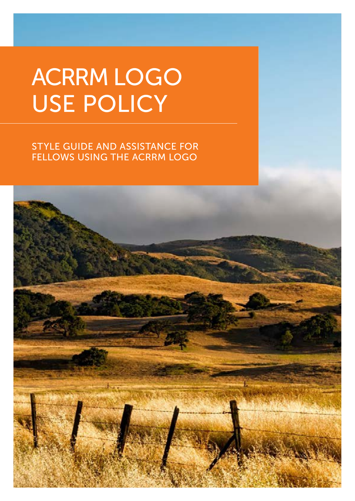# ACRRM LOGO USE POLICY

## STYLE GUIDE AND ASSISTANCE FOR FELLOWS USING THE ACRRM LOGO

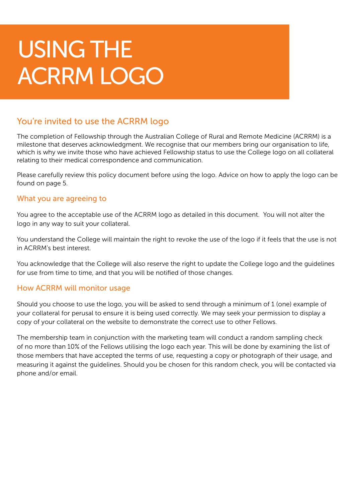## You're invited to use the ACRRM logo

The completion of Fellowship through the Australian College of Rural and Remote Medicine (ACRRM) is a milestone that deserves acknowledgment. We recognise that our members bring our organisation to life, which is why we invite those who have achieved Fellowship status to use the College logo on all collateral relating to their medical correspondence and communication.

Please carefully review this policy document before using the logo. Advice on how to apply the logo can be found on page 5.

### What you are agreeing to

You agree to the acceptable use of the ACRRM logo as detailed in this document. You will not alter the logo in any way to suit your collateral.

You understand the College will maintain the right to revoke the use of the logo if it feels that the use is not in ACRRM's best interest.

You acknowledge that the College will also reserve the right to update the College logo and the guidelines for use from time to time, and that you will be notified of those changes.

### How ACRRM will monitor usage

Should you choose to use the logo, you will be asked to send through a minimum of 1 (one) example of your collateral for perusal to ensure it is being used correctly. We may seek your permission to display a copy of your collateral on the website to demonstrate the correct use to other Fellows.

The membership team in conjunction with the marketing team will conduct a random sampling check of no more than 10% of the Fellows utilising the logo each year. This will be done by examining the list of those members that have accepted the terms of use, requesting a copy or photograph of their usage, and measuring it against the guidelines. Should you be chosen for this random check, you will be contacted via phone and/or email.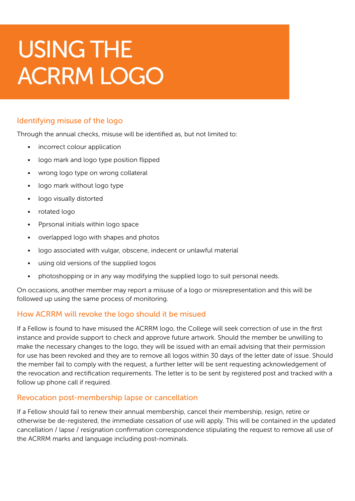### Identifying misuse of the logo

Through the annual checks, misuse will be identified as, but not limited to:

- incorrect colour application
- logo mark and logo type position flipped
- wrong logo type on wrong collateral
- logo mark without logo type
- logo visually distorted
- rotated logo
- Pprsonal initials within logo space
- overlapped logo with shapes and photos
- logo associated with vulgar, obscene, indecent or unlawful material
- using old versions of the supplied logos
- photoshopping or in any way modifying the supplied logo to suit personal needs.

On occasions, another member may report a misuse of a logo or misrepresentation and this will be followed up using the same process of monitoring.

### How ACRRM will revoke the logo should it be misued

If a Fellow is found to have misused the ACRRM logo, the College will seek correction of use in the first instance and provide support to check and approve future artwork. Should the member be unwilling to make the necessary changes to the logo, they will be issued with an email advising that their permission for use has been revoked and they are to remove all logos within 30 days of the letter date of issue. Should the member fail to comply with the request, a further letter will be sent requesting acknowledgement of the revocation and rectification requirements. The letter is to be sent by registered post and tracked with a follow up phone call if required.

### Revocation post-membership lapse or cancellation

If a Fellow should fail to renew their annual membership, cancel their membership, resign, retire or otherwise be de-registered, the immediate cessation of use will apply. This will be contained in the updated cancellation / lapse / resignation confirmation correspondence stipulating the request to remove all use of the ACRRM marks and language including post-nominals.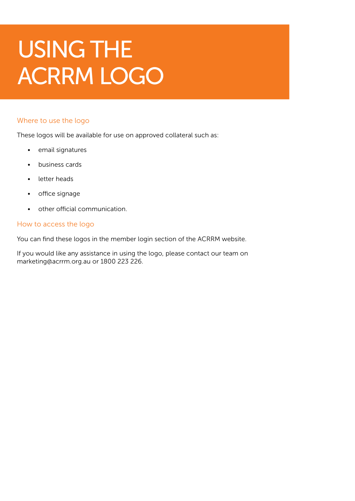#### Where to use the logo

These logos will be available for use on approved collateral such as:

- email signatures
- business cards
- letter heads
- office signage
- other official communication.

#### How to access the logo

You can find these logos in the member login section of the ACRRM website.

If you would like any assistance in using the logo, please contact our team on marketing@acrrm.org.au or 1800 223 226.